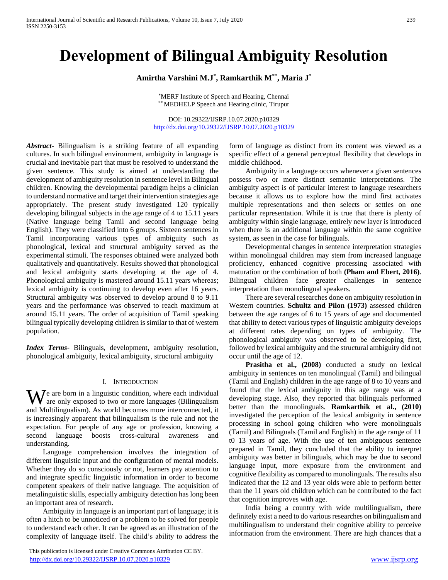# **Development of Bilingual Ambiguity Resolution**

**Amirtha Varshini M.J\* , Ramkarthik M\*\*, Maria J\***

\*MERF Institute of Speech and Hearing, Chennai \*\* MEDHELP Speech and Hearing clinic, Tirupur

DOI: 10.29322/IJSRP.10.07.2020.p10329 <http://dx.doi.org/10.29322/IJSRP.10.07.2020.p10329>

*Abstract***-** Bilingualism is a striking feature of all expanding cultures. In such bilingual environment, ambiguity in language is crucial and inevitable part that must be resolved to understand the given sentence. This study is aimed at understanding the development of ambiguity resolution in sentence level in Bilingual children. Knowing the developmental paradigm helps a clinician to understand normative and target their intervention strategies age appropriately. The present study investigated 120 typically developing bilingual subjects in the age range of 4 to 15.11 years (Native language being Tamil and second language being English). They were classified into 6 groups. Sixteen sentences in Tamil incorporating various types of ambiguity such as phonological, lexical and structural ambiguity served as the experimental stimuli. The responses obtained were analyzed both qualitatively and quantitatively. Results showed that phonological and lexical ambiguity starts developing at the age of 4. Phonological ambiguity is mastered around 15.11 years whereas; lexical ambiguity is continuing to develop even after 16 years. Structural ambiguity was observed to develop around 8 to 9.11 years and the performance was observed to reach maximum at around 15.11 years. The order of acquisition of Tamil speaking bilingual typically developing children is similar to that of western population.

*Index Terms*- Bilinguals, development, ambiguity resolution, phonological ambiguity, lexical ambiguity, structural ambiguity

#### I. INTRODUCTION

We are born in a linguistic condition, where each individual<br>also are only exposed to two or more languages (Bilingualism  $\blacktriangledown$  are only exposed to two or more languages (Bilingualism and Multilingualism). As world becomes more interconnected, it is increasingly apparent that bilingualism is the rule and not the expectation. For people of any age or profession, knowing a second language boosts cross-cultural awareness and understanding.

 Language comprehension involves the integration of different linguistic input and the configuration of mental models. Whether they do so consciously or not, learners pay attention to and integrate specific linguistic information in order to become competent speakers of their native language. The acquisition of metalinguistic skills, especially ambiguity detection has long been an important area of research.

 Ambiguity in language is an important part of language; it is often a hitch to be unnoticed or a problem to be solved for people to understand each other. It can be agreed as an illustration of the complexity of language itself. The child's ability to address the

 This publication is licensed under Creative Commons Attribution CC BY. <http://dx.doi.org/10.29322/IJSRP.10.07.2020.p10329> [www.ijsrp.org](http://ijsrp.org/)

form of language as distinct from its content was viewed as a specific effect of a general perceptual flexibility that develops in middle childhood.

 Ambiguity in a language occurs whenever a given sentences possess two or more distinct semantic interpretations. The ambiguity aspect is of particular interest to language researchers because it allows us to explore how the mind first activates multiple representations and then selects or settles on one particular representation. While it is true that there is plenty of ambiguity within single language, entirely new layer is introduced when there is an additional language within the same cognitive system, as seen in the case for bilinguals.

 Developmental changes in sentence interpretation strategies within monolingual children may stem from increased language proficiency, enhanced cognitive processing associated with maturation or the combination of both **(Pham and Ebert, 2016)**. Bilingual children face greater challenges in sentence interpretation than monolingual speakers.

 There are several researches done on ambiguity resolution in Western countries. **Schultz and Pilon (1973)** assessed children between the age ranges of 6 to 15 years of age and documented that ability to detect various types of linguistic ambiguity develops at different rates depending on types of ambiguity. The phonological ambiguity was observed to be developing first, followed by lexical ambiguity and the structural ambiguity did not occur until the age of 12.

 **Prasitha et al., (2008)** conducted a study on lexical ambiguity in sentences on ten monolingual (Tamil) and bilingual (Tamil and English) children in the age range of 8 to 10 years and found that the lexical ambiguity in this age range was at a developing stage. Also, they reported that bilinguals performed better than the monolinguals. **Ramkarthik et al., (2010)** investigated the perception of the lexical ambiguity in sentence processing in school going children who were monolinguals (Tamil) and Bilinguals (Tamil and English) in the age range of 11 t0 13 years of age. With the use of ten ambiguous sentence prepared in Tamil, they concluded that the ability to interpret ambiguity was better in bilinguals, which may be due to second language input, more exposure from the environment and cognitive flexibility as compared to monolinguals. The results also indicated that the 12 and 13 year olds were able to perform better than the 11 years old children which can be contributed to the fact that cognition improves with age.

 India being a country with wide multilingualism, there definitely exist a need to do various researches on bilingualism and multilingualism to understand their cognitive ability to perceive information from the environment. There are high chances that a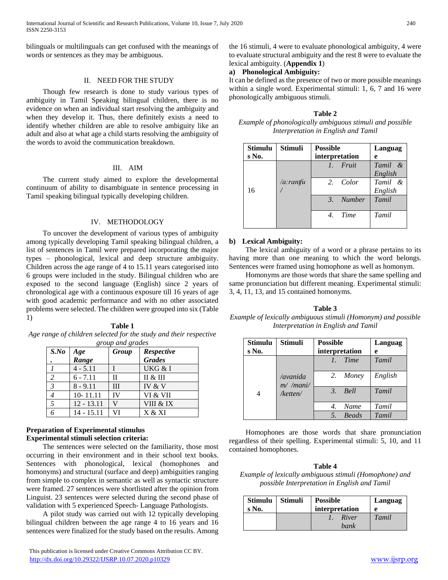bilinguals or multilinguals can get confused with the meanings of words or sentences as they may be ambiguous.

### II. NEED FOR THE STUDY

 Though few research is done to study various types of ambiguity in Tamil Speaking bilingual children, there is no evidence on when an individual start resolving the ambiguity and when they develop it. Thus, there definitely exists a need to identify whether children are able to resolve ambiguity like an adult and also at what age a child starts resolving the ambiguity of the words to avoid the communication breakdown.

#### III. AIM

 The current study aimed to explore the developmental continuum of ability to disambiguate in sentence processing in Tamil speaking bilingual typically developing children.

## IV. METHODOLOGY

 To uncover the development of various types of ambiguity among typically developing Tamil speaking bilingual children, a list of sentences in Tamil were prepared incorporating the major types – phonological, lexical and deep structure ambiguity. Children across the age range of 4 to 15.11 years categorised into 6 groups were included in the study. Bilingual children who are exposed to the second language (English) since 2 years of chronological age with a continuous exposure till 16 years of age with good academic performance and with no other associated problems were selected. The children were grouped into six (Table 1)

**Table 1** *Age range of children selected for the study and their respective group and grades*

|                | group and grades |       |               |  |  |  |
|----------------|------------------|-------|---------------|--|--|--|
| $S$ .No        | Age              | Group | Respective    |  |  |  |
|                | Range            |       | <b>Grades</b> |  |  |  |
|                | $4 - 5.11$       |       | UKG & I       |  |  |  |
| $\overline{c}$ | $6 - 7.11$       | П     | П & Ш         |  |  |  |
| $\mathcal{E}$  | $8 - 9.11$       | III   | IV $&$ V      |  |  |  |
| 4              | $10 - 11.11$     | IV    | VI & VII      |  |  |  |
| 5              | $12 - 13.11$     | V     | VIII & IX     |  |  |  |
|                | $14 - 15.11$     | VI    | X & XI        |  |  |  |

# **Preparation of Experimental stimulus Experimental stimuli selection criteria:**

 The sentences were selected on the familiarity, those most occurring in their environment and in their school text books. Sentences with phonological, lexical (homophones and homonyms) and structural (surface and deep) ambiguities ranging from simple to complex in semantic as well as syntactic structure were framed. 27 sentences were shortlisted after the opinion from Linguist. 23 sentences were selected during the second phase of validation with 5 experienced Speech- Language Pathologists.

 A pilot study was carried out with 12 typically developing bilingual children between the age range 4 to 16 years and 16 sentences were finalized for the study based on the results. Among the 16 stimuli, 4 were to evaluate phonological ambiguity, 4 were to evaluate structural ambiguity and the rest 8 were to evaluate the lexical ambiguity. (**Appendix 1**)

# **a) Phonological Ambiguity:**

It can be defined as the presence of two or more possible meanings within a single word. Experimental stimuli: 1, 6, 7 and 16 were phonologically ambiguous stimuli.

**Table 2** *Example of phonologically ambiguous stimuli and possible Interpretation in English and Tamil*

| Stimulu<br>s No. | Stimuli           | <b>Possible</b><br>interpretation | Languag<br>e  |         |
|------------------|-------------------|-----------------------------------|---------------|---------|
|                  |                   | $\mathcal{I}$ .                   | Fruit         | Tamil & |
|                  |                   |                                   |               | English |
|                  | $\alpha$ : rantfu |                                   | 2. Color      | Tamil & |
| 16               |                   |                                   |               | English |
|                  |                   | $\beta$ .                         | <b>Number</b> | Tamil   |
|                  |                   |                                   |               |         |
|                  |                   | $\mathcal{A}_{\cdot}$             | Time          | Tamil   |
|                  |                   |                                   |               |         |

## **b) Lexical Ambiguity:**

 The lexical ambiguity of a word or a phrase pertains to its having more than one meaning to which the word belongs. Sentences were framed using homophone as well as homonym.

 Homonyms are those words that share the same spelling and same pronunciation but different meaning. Experimental stimuli: 3, 4, 11, 13, and 15 contained homonyms.

#### **Table 3**

*Example of lexically ambiguous stimuli (Homonym) and possible Interpretation in English and Tamil*

| Stimulu<br>s No. | <b>Stimuli</b>          | <b>Possible</b><br>interpretation |              | Languag<br>e |
|------------------|-------------------------|-----------------------------------|--------------|--------------|
|                  |                         |                                   | Time         | Tamil        |
|                  | /avanida<br>$m/$ /mani/ |                                   | 2. Money     | English      |
|                  | $k$ etten/              | $\beta$ .                         | <b>Bell</b>  | Tamil        |
|                  |                         | 4.                                | Name         | Tamil        |
|                  |                         |                                   | <b>Beads</b> | Tamil        |

 Homophones are those words that share pronunciation regardless of their spelling. Experimental stimuli: 5, 10, and 11 contained homophones.

#### **Table 4**

*Example of lexically ambiguous stimuli (Homophone) and possible Interpretation in English and Tamil*

| Stimulu   Stimuli | <b>Possible</b> | Languag |
|-------------------|-----------------|---------|
| $S$ No.           | interpretation  | e       |
|                   | River<br>bank   | Tamil   |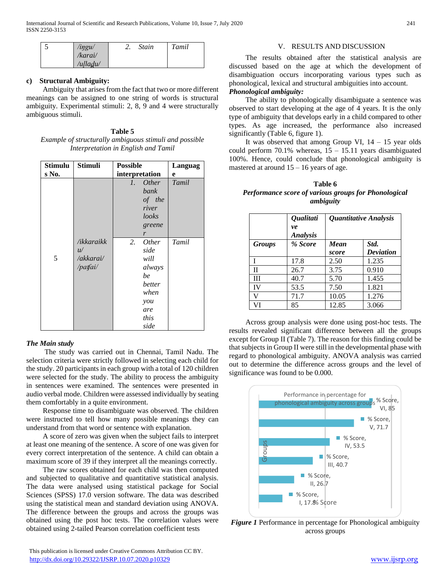| ت | /iŋgu/   | Stain | Tamil |
|---|----------|-------|-------|
|   | /karai/  |       |       |
|   | /ulladu/ |       |       |

#### **c) Structural Ambiguity:**

 Ambiguity that arises from the fact that two or more different meanings can be assigned to one string of words is structural ambiguity. Experimental stimuli: 2, 8, 9 and 4 were structurally ambiguous stimuli.

**Table 5** *Example of structurally ambiguous stimuli and possible Interpretation in English and Tamil*

| <b>Stimulu</b> | <b>Stimuli</b> | <b>Possible</b>          | Languag |
|----------------|----------------|--------------------------|---------|
| s No.          |                | interpretation           | e       |
|                |                | Other<br>$\mathcal{I}$ . | Tamil   |
|                |                | bank                     |         |
|                |                | of the                   |         |
|                |                | river                    |         |
|                |                | looks                    |         |
|                |                | greene                   |         |
|                |                | r                        |         |
|                | /ikkaraikk     | 2.<br><i>Other</i>       | Tamil   |
|                | u/             | side                     |         |
| 5              | /akkarai/      | will                     |         |
|                | /patfai/       | always                   |         |
|                |                | be                       |         |
|                |                | better                   |         |
|                |                | when                     |         |
|                |                | you                      |         |
|                |                | are                      |         |
|                |                | this                     |         |
|                |                | side                     |         |

#### *The Main study*

 The study was carried out in Chennai, Tamil Nadu. The selection criteria were strictly followed in selecting each child for the study. 20 participants in each group with a total of 120 children were selected for the study. The ability to process the ambiguity in sentences were examined. The sentences were presented in audio verbal mode. Children were assessed individually by seating them comfortably in a quite environment.

 Response time to disambiguate was observed. The children were instructed to tell how many possible meanings they can understand from that word or sentence with explanation.

 A score of zero was given when the subject fails to interpret at least one meaning of the sentence. A score of one was given for every correct interpretation of the sentence. A child can obtain a maximum score of 39 if they interpret all the meanings correctly.

 The raw scores obtained for each child was then computed and subjected to qualitative and quantitative statistical analysis. The data were analysed using statistical package for Social Sciences (SPSS) 17.0 version software. The data was described using the statistical mean and standard deviation using ANOVA. The difference between the groups and across the groups was obtained using the post hoc tests. The correlation values were obtained using 2-tailed Pearson correlation coefficient tests

#### V. RESULTS AND DISCUSSION

 The results obtained after the statistical analysis are discussed based on the age at which the development of disambiguation occurs incorporating various types such as phonological, lexical and structural ambiguities into account.

### *Phonological ambiguity:*

 The ability to phonologically disambiguate a sentence was observed to start developing at the age of 4 years. It is the only type of ambiguity that develops early in a child compared to other types. As age increased, the performance also increased significantly (Table 6, figure 1).

It was observed that among Group VI,  $14 - 15$  year olds could perform  $70.1\%$  whereas,  $15 - 15.11$  years disambiguated 100%. Hence, could conclude that phonological ambiguity is mastered at around  $15 - 16$  years of age.

| Table 6                                              |
|------------------------------------------------------|
| Performance score of various groups for Phonological |
| ambiguity                                            |

|               | Qualitati<br>ve<br><b>Analysis</b> | <b>Ouantitative Analysis</b> |                  |
|---------------|------------------------------------|------------------------------|------------------|
| <b>Groups</b> | % Score                            | Mean                         | Std.             |
|               |                                    | score                        | <b>Deviation</b> |
|               | 17.8                               | 2.50                         | 1.235            |
| $\mathbf{I}$  | 26.7                               | 3.75                         | 0.910            |
| Ш             | 40.7                               | 5.70                         | 1.455            |
| IV            | 53.5                               | 7.50                         | 1.821            |
| V             | 71.7                               | 10.05                        | 1.276            |
| VI            | 85                                 | 12.85                        | 3.066            |

 Across group analysis were done using post-hoc tests. The results revealed significant difference between all the groups except for Group II (Table 7). The reason for this finding could be that subjects in Group II were still in the developmental phase with regard to phonological ambiguity. ANOVA analysis was carried out to determine the difference across groups and the level of significance was found to be 0.000.



*Figure 1* Performance in percentage for Phonological ambiguity across groups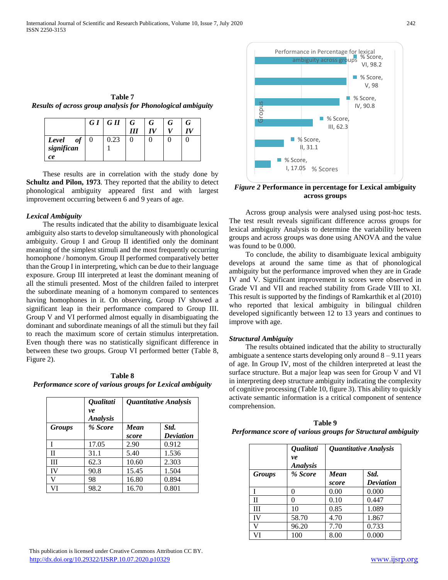|                                                             | Table 7 |  |
|-------------------------------------------------------------|---------|--|
| Results of across group analysis for Phonological ambiguity |         |  |

|             | $GI \mid GII \mid G$ | $\overline{G}$ | G | G<br>TV |
|-------------|----------------------|----------------|---|---------|
| of<br>Level | 0.23                 |                |   |         |
| significan  |                      |                |   |         |
| ce          |                      |                |   |         |

 These results are in correlation with the study done by **Schultz and Pilon, 1973**. They reported that the ability to detect phonological ambiguity appeared first and with largest improvement occurring between 6 and 9 years of age.

#### *Lexical Ambiguity*

 The results indicated that the ability to disambiguate lexical ambiguity also starts to develop simultaneously with phonological ambiguity. Group I and Group II identified only the dominant meaning of the simplest stimuli and the most frequently occurring homophone / homonym. Group II performed comparatively better than the Group I in interpreting, which can be due to their language exposure. Group III interpreted at least the dominant meaning of all the stimuli presented. Most of the children failed to interpret the subordinate meaning of a homonym compared to sentences having homophones in it. On observing, Group IV showed a significant leap in their performance compared to Group III. Group V and VI performed almost equally in disambiguating the dominant and subordinate meanings of all the stimuli but they fail to reach the maximum score of certain stimulus interpretation. Even though there was no statistically significant difference in between these two groups. Group VI performed better (Table 8, Figure 2).

**Table 8** *Performance score of various groups for Lexical ambiguity*

|               | <i><b>Qualitati</b></i><br>ve<br><b>Analysis</b> | <i><b>Ouantitative Analysis</b></i> |                  |  |
|---------------|--------------------------------------------------|-------------------------------------|------------------|--|
| <b>Groups</b> | % Score                                          | Mean                                | Std.             |  |
|               |                                                  | score                               | <b>Deviation</b> |  |
| T             | 17.05                                            | 2.90                                | 0.912            |  |
| $\mathbf{H}$  | 31.1                                             | 5.40                                | 1.536            |  |
| Ш             | 62.3                                             | 10.60                               | 2.303            |  |
| IV            | 90.8                                             | 15.45                               | 1.504            |  |
| V             | 98                                               | 16.80                               | 0.894            |  |
| VI            | 98.2                                             | 16.70                               | 0.801            |  |



*Figure 2* **Performance in percentage for Lexical ambiguity across groups**

 Across group analysis were analysed using post-hoc tests. The test result reveals significant difference across groups for lexical ambiguity Analysis to determine the variability between groups and across groups was done using ANOVA and the value was found to be 0.000.

 To conclude, the ability to disambiguate lexical ambiguity develops at around the same time as that of phonological ambiguity but the performance improved when they are in Grade IV and V. Significant improvement in scores were observed in Grade VI and VII and reached stability from Grade VIII to XI. This result is supported by the findings of Ramkarthik et al (2010) who reported that lexical ambiguity in bilingual children developed significantly between 12 to 13 years and continues to improve with age.

#### *Structural Ambiguity*

 The results obtained indicated that the ability to structurally ambiguate a sentence starts developing only around  $8 - 9.11$  years of age. In Group IV, most of the children interpreted at least the surface structure. But a major leap was seen for Group V and VI in interpreting deep structure ambiguity indicating the complexity of cognitive processing (Table 10, figure 3). This ability to quickly activate semantic information is a critical component of sentence comprehension.

| Table 9                                                      |
|--------------------------------------------------------------|
| Performance score of various groups for Structural ambiguity |

|               | <b>Qualitati</b><br>ve<br><b>Analysis</b> | Quantitative Analysis |                          |
|---------------|-------------------------------------------|-----------------------|--------------------------|
| <b>Groups</b> | % Score                                   | Mean<br>score         | Std.<br><b>Deviation</b> |
|               | 0                                         | 0.00                  | 0.000                    |
| H             | 0                                         | 0.10                  | 0.447                    |
| Ш             | 10                                        | 0.85                  | 1.089                    |
| IV            | 58.70                                     | 4.70                  | 1.867                    |
| V             | 96.20                                     | 7.70                  | 0.733                    |
|               | 100                                       | 8.00                  | 0.000                    |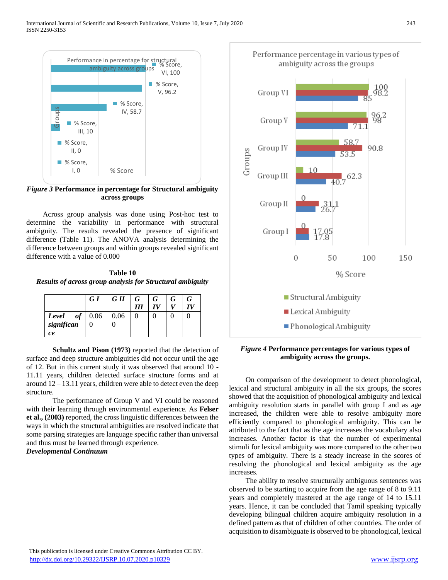

*Figure 3* **Performance in percentage for Structural ambiguity across groups**

 Across group analysis was done using Post-hoc test to determine the variability in performance with structural ambiguity. The results revealed the presence of significant difference (Table 11). The ANOVA analysis determining the difference between groups and within groups revealed significant difference with a value of 0.000

**Table 10** *Results of across group analysis for Structural ambiguity*

|                      | G I | $GH$ $G$ $G$ |  | G | G |
|----------------------|-----|--------------|--|---|---|
| <i>Level of</i> 0.06 |     | 0.06         |  |   |   |
| significan           |     |              |  |   |   |
| ce                   |     |              |  |   |   |

**Schultz and Pison (1973)** reported that the detection of surface and deep structure ambiguities did not occur until the age of 12. But in this current study it was observed that around 10 - 11.11 years, children detected surface structure forms and at around 12 – 13.11 years, children were able to detect even the deep structure.

The performance of Group V and VI could be reasoned with their learning through environmental experience. As **Felser et al., (2003)** reported, the cross linguistic differences between the ways in which the structural ambiguities are resolved indicate that some parsing strategies are language specific rather than universal and thus must be learned through experience.

## *Developmental Continuum*



*Figure 4* **Performance percentages for various types of ambiguity across the groups.**

 On comparison of the development to detect phonological, lexical and structural ambiguity in all the six groups, the scores showed that the acquisition of phonological ambiguity and lexical ambiguity resolution starts in parallel with group I and as age increased, the children were able to resolve ambiguity more efficiently compared to phonological ambiguity. This can be attributed to the fact that as the age increases the vocabulary also increases. Another factor is that the number of experimental stimuli for lexical ambiguity was more compared to the other two types of ambiguity. There is a steady increase in the scores of resolving the phonological and lexical ambiguity as the age increases.

 The ability to resolve structurally ambiguous sentences was observed to be starting to acquire from the age range of 8 to 9.11 years and completely mastered at the age range of 14 to 15.11 years. Hence, it can be concluded that Tamil speaking typically developing bilingual children acquire ambiguity resolution in a defined pattern as that of children of other countries. The order of acquisition to disambiguate is observed to be phonological, lexical